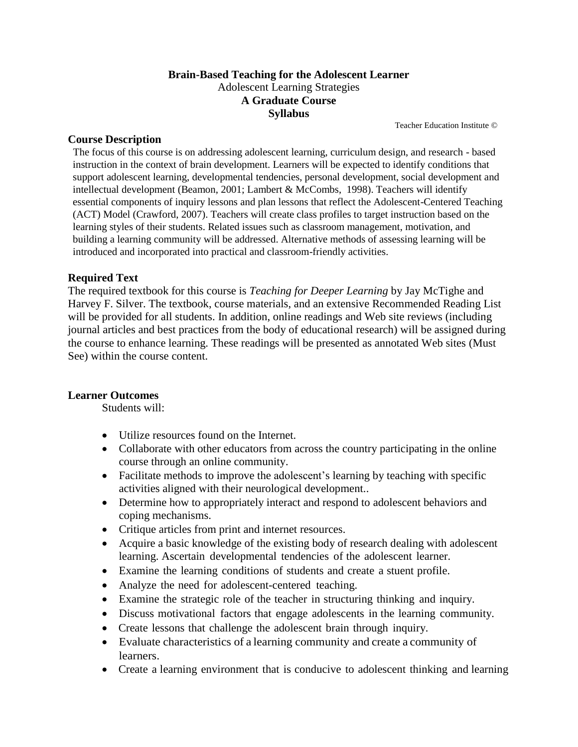#### **Brain-Based Teaching for the Adolescent Learner** Adolescent Learning Strategies **A Graduate Course Syllabus**

Teacher Education Institute ©

#### **Course Description**

The focus of this course is on addressing adolescent learning, curriculum design, and research - based instruction in the context of brain development. Learners will be expected to identify conditions that support adolescent learning, developmental tendencies, personal development, social development and intellectual development (Beamon, 2001; Lambert & McCombs, 1998). Teachers will identify essential components of inquiry lessons and plan lessons that reflect the Adolescent-Centered Teaching (ACT) Model (Crawford, 2007). Teachers will create class profiles to target instruction based on the learning styles of their students. Related issues such as classroom management, motivation, and building a learning community will be addressed. Alternative methods of assessing learning will be introduced and incorporated into practical and classroom-friendly activities.

#### **Required Text**

The required textbook for this course is *Teaching for Deeper Learning* by Jay McTighe and Harvey F. Silver. The textbook, course materials, and an extensive Recommended Reading List will be provided for all students. In addition, online readings and Web site reviews (including journal articles and best practices from the body of educational research) will be assigned during the course to enhance learning. These readings will be presented as annotated Web sites (Must See) within the course content.

#### **Learner Outcomes**

Students will:

- Utilize resources found on the Internet.
- Collaborate with other educators from across the country participating in the online course through an online community.
- Facilitate methods to improve the adolescent's learning by teaching with specific activities aligned with their neurological development..
- Determine how to appropriately interact and respond to adolescent behaviors and coping mechanisms.
- Critique articles from print and internet resources.
- Acquire a basic knowledge of the existing body of research dealing with adolescent learning. Ascertain developmental tendencies of the adolescent learner.
- Examine the learning conditions of students and create a stuent profile.
- Analyze the need for adolescent-centered teaching.
- Examine the strategic role of the teacher in structuring thinking and inquiry.
- Discuss motivational factors that engage adolescents in the learning community.
- Create lessons that challenge the adolescent brain through inquiry.
- Evaluate characteristics of a learning community and create a community of learners.
- Create a learning environment that is conducive to adolescent thinking and learning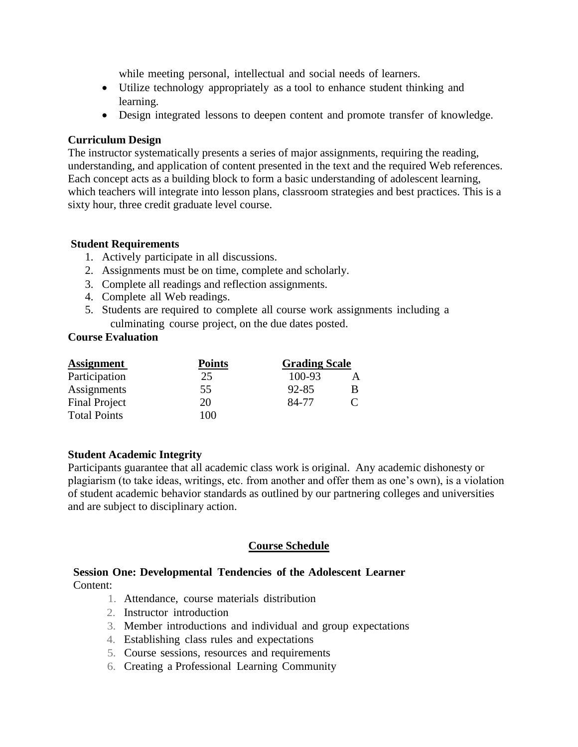while meeting personal, intellectual and social needs of learners.

- Utilize technology appropriately as a tool to enhance student thinking and learning.
- Design integrated lessons to deepen content and promote transfer of knowledge.

#### **Curriculum Design**

The instructor systematically presents a series of major assignments, requiring the reading, understanding, and application of content presented in the text and the required Web references. Each concept acts as a building block to form a basic understanding of adolescent learning, which teachers will integrate into lesson plans, classroom strategies and best practices. This is a sixty hour, three credit graduate level course.

#### **Student Requirements**

- 1. Actively participate in all discussions.
- 2. Assignments must be on time, complete and scholarly.
- 3. Complete all readings and reflection assignments.
- 4. Complete all Web readings.
- 5. Students are required to complete all course work assignments including a culminating course project, on the due dates posted.

#### **Course Evaluation**

| <b>Assignment</b>    | <b>Points</b><br>25 | <b>Grading Scale</b> |  |
|----------------------|---------------------|----------------------|--|
| Participation        |                     | $100 - 93$           |  |
| Assignments          | 55                  | 92-85                |  |
| <b>Final Project</b> | 20                  | 84-77                |  |
| <b>Total Points</b>  | 100                 |                      |  |

#### **Student Academic Integrity**

Participants guarantee that all academic class work is original. Any academic dishonesty or plagiarism (to take ideas, writings, etc. from another and offer them as one's own), is a violation of student academic behavior standards as outlined by our partnering colleges and universities and are subject to disciplinary action.

### **Course Schedule**

#### **Session One: Developmental Tendencies of the Adolescent Learner** Content:

- 1. Attendance, course materials distribution
- 2. Instructor introduction
- 3. Member introductions and individual and group expectations
- 4. Establishing class rules and expectations
- 5. Course sessions, resources and requirements
- 6. Creating a Professional Learning Community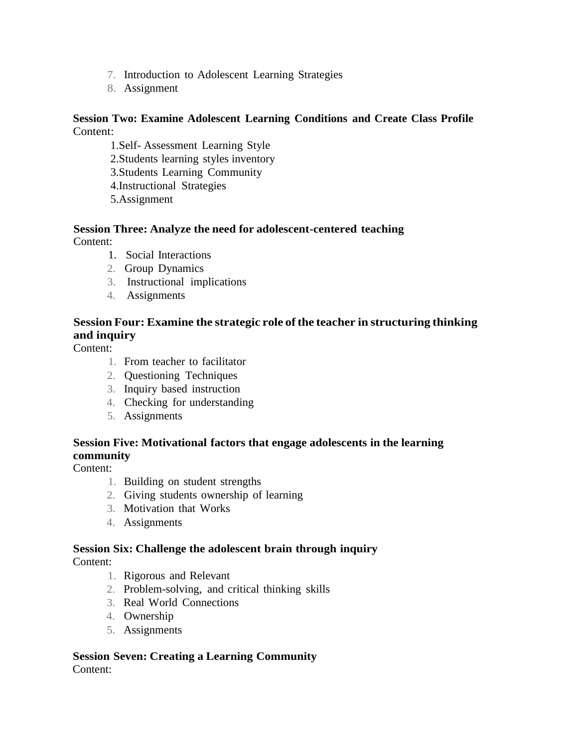- 7. Introduction to Adolescent Learning Strategies
- 8. Assignment

#### **Session Two: Examine Adolescent Learning Conditions and Create Class Profile** Content:

- 1.Self- Assessment Learning Style
- 2.Students learning styles inventory
- 3.Students Learning Community
- 4.Instructional Strategies
- 5.Assignment

# **Session Three: Analyze the need for adolescent-centered teaching**

Content:

- 1. Social Interactions
- 2. Group Dynamics
- 3. Instructional implications
- 4. Assignments

## **Session Four: Examine the strategic role ofthe teacher in structuring thinking and inquiry**

Content:

- 1. From teacher to facilitator
- 2. Questioning Techniques
- 3. Inquiry based instruction
- 4. Checking for understanding
- 5. Assignments

### **Session Five: Motivational factors that engage adolescents in the learning community**

Content:

- 1. Building on student strengths
- 2. Giving students ownership of learning
- 3. Motivation that Works
- 4. Assignments

## **Session Six: Challenge the adolescent brain through inquiry**

Content:

- 1. Rigorous and Relevant
- 2. Problem-solving, and critical thinking skills
- 3. Real World Connections
- 4. Ownership
- 5. Assignments

#### **Session Seven: Creating a Learning Community** Content: